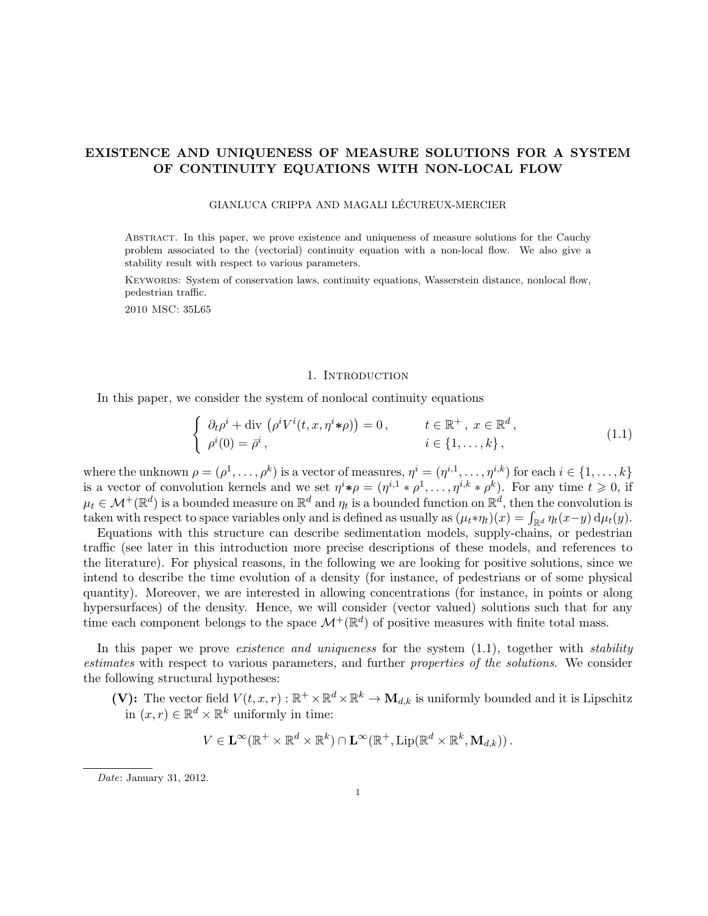# EXISTENCE AND UNIQUENESS OF MEASURE SOLUTIONS FOR A SYSTEM OF CONTINUITY EQUATIONS WITH NON-LOCAL FLOW

# GIANLUCA CRIPPA AND MAGALI LÉCUREUX-MERCIER

Abstract. In this paper, we prove existence and uniqueness of measure solutions for the Cauchy problem associated to the (vectorial) continuity equation with a non-local flow. We also give a stability result with respect to various parameters.

Keywords: System of conservation laws, continuity equations, Wasserstein distance, nonlocal flow, pedestrian traffic.

2010 MSC: 35L65

# 1. INTRODUCTION

In this paper, we consider the system of nonlocal continuity equations

$$
\begin{cases}\n\partial_t \rho^i + \text{div} \left( \rho^i V^i(t, x, \eta^i * \rho) \right) = 0, & t \in \mathbb{R}^+, \ x \in \mathbb{R}^d, \\
\rho^i(0) = \bar{\rho}^i, & i \in \{1, \dots, k\},\n\end{cases}
$$
\n(1.1)

where the unknown  $\rho = (\rho^1, \ldots, \rho^k)$  is a vector of measures,  $\eta^i = (\eta^{i,1}, \ldots, \eta^{i,k})$  for each  $i \in \{1, \ldots, k\}$ is a vector of convolution kernels and we set  $\eta^{i} * \rho = (\eta^{i,1} * \rho^{1}, \ldots, \eta^{i,k} * \rho^{k})$ . For any time  $t \geq 0$ , if  $\mu_t \in \mathcal{M}^+(\mathbb{R}^d)$  is a bounded measure on  $\mathbb{R}^d$  and  $\eta_t$  is a bounded function on  $\mathbb{R}^d$ , then the convolution is taken with respect to space variables only and is defined as usually as  $(\mu_t * \eta_t)(x) = \int_{\mathbb{R}^d} \eta_t(x-y) d\mu_t(y)$ .

Equations with this structure can describe sedimentation models, supply-chains, or pedestrian traffic (see later in this introduction more precise descriptions of these models, and references to the literature). For physical reasons, in the following we are looking for positive solutions, since we intend to describe the time evolution of a density (for instance, of pedestrians or of some physical quantity). Moreover, we are interested in allowing concentrations (for instance, in points or along hypersurfaces) of the density. Hence, we will consider (vector valued) solutions such that for any time each component belongs to the space  $\mathcal{M}^+(\mathbb{R}^d)$  of positive measures with finite total mass.

In this paper we prove *existence and uniqueness* for the system  $(1.1)$ , together with *stability* estimates with respect to various parameters, and further properties of the solutions. We consider the following structural hypotheses:

(V): The vector field  $V(t, x, r) : \mathbb{R}^+ \times \mathbb{R}^d \times \mathbb{R}^k \to M_{d,k}$  is uniformly bounded and it is Lipschitz in  $(x, r) \in \mathbb{R}^d \times \mathbb{R}^k$  uniformly in time:

$$
V \in \mathbf{L}^{\infty}(\mathbb{R}^+ \times \mathbb{R}^d \times \mathbb{R}^k) \cap \mathbf{L}^{\infty}(\mathbb{R}^+, \text{Lip}(\mathbb{R}^d \times \mathbb{R}^k, \mathbf{M}_{d,k})).
$$

Date: January 31, 2012.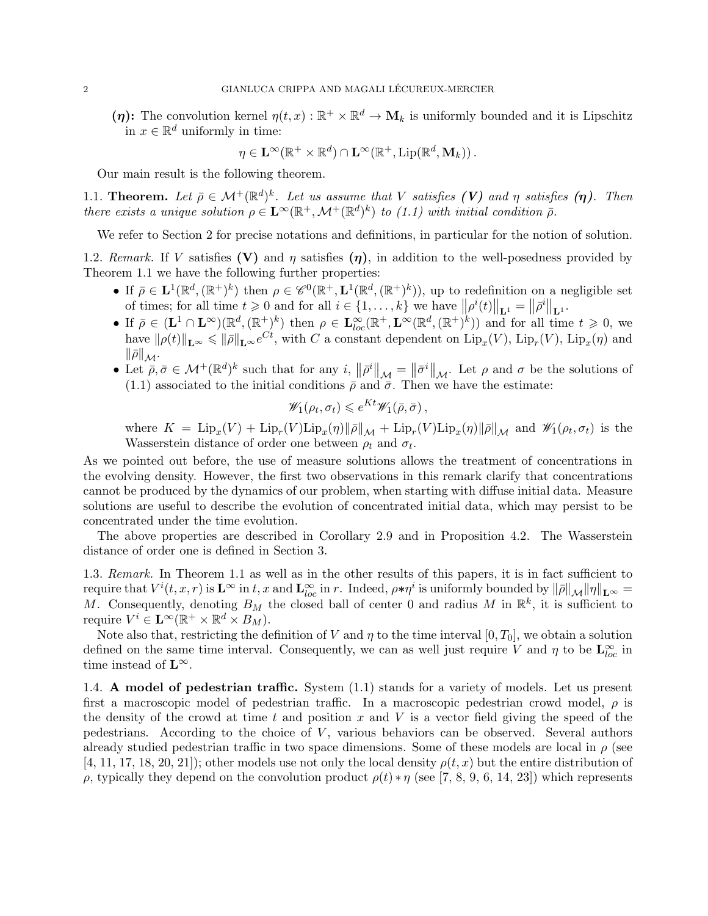( $\eta$ ): The convolution kernel  $\eta(t,x): \mathbb{R}^+ \times \mathbb{R}^d \to \mathbf{M}_k$  is uniformly bounded and it is Lipschitz in  $x \in \mathbb{R}^d$  uniformly in time:

$$
\eta \in \mathbf{L}^{\infty}(\mathbb{R}^+ \times \mathbb{R}^d) \cap \mathbf{L}^{\infty}(\mathbb{R}^+, \mathrm{Lip}(\mathbb{R}^d, \mathbf{M}_k)).
$$

Our main result is the following theorem.

1.1. Theorem. Let  $\bar{\rho} \in \mathcal{M}^+(\mathbb{R}^d)^k$ . Let us assume that V satisfies (V) and  $\eta$  satisfies ( $\eta$ ). Then there exists a unique solution  $\rho \in \mathbf{L}^{\infty}(\mathbb{R}^+, \mathcal{M}^+(\mathbb{R}^d)^k)$  to (1.1) with initial condition  $\bar{\rho}$ .

We refer to Section 2 for precise notations and definitions, in particular for the notion of solution.

1.2. Remark. If V satisfies (V) and  $\eta$  satisfies ( $\eta$ ), in addition to the well-posedness provided by Theorem 1.1 we have the following further properties:

- If  $\bar{\rho} \in L^1(\mathbb{R}^d, (\mathbb{R}^+)^k)$  then  $\rho \in \mathscr{C}^0(\mathbb{R}^+, L^1(\mathbb{R}^d, (\mathbb{R}^+)^k))$ , up to redefinition on a negligible set of times; for all time  $t \geq 0$  and for all  $i \in \{1, ..., k\}$  we have  $||\rho^{i}(t)||_{\mathbf{L}^{1}} = ||\bar{\rho}^{i}||_{\mathbf{L}^{1}}$ .
- If  $\bar{\rho} \in (\mathbf{L}^1 \cap \mathbf{L}^{\infty})(\mathbb{R}^d, (\mathbb{R}^+)^k)$  then  $\rho \in \mathbf{L}_{loc}^{\infty}(\mathbb{R}^+, \mathbf{L}^{\infty}(\mathbb{R}^d, (\mathbb{R}^+)^k))$  and for all time  $t \geqslant 0$ , we have  $\|\rho(t)\|_{\mathbf{L}^{\infty}} \leqslant \|\bar{\rho}\|_{\mathbf{L}^{\infty}}e^{Ct}$ , with C a constant dependent on  $\text{Lip}_x(V)$ ,  $\text{Lip}_x(V)$ ,  $\text{Lip}_x(\eta)$  and  $\|\bar{\rho}\|_{\mathcal{M}}.$
- Let  $\bar{\rho}, \bar{\sigma} \in \mathcal{M}^+(\mathbb{R}^d)^k$  such that for any  $i, \| \bar{\rho}^i \|_{\mathcal{M}} = \| \bar{\sigma}^i \|_{\mathcal{M}}$ . Let  $\rho$  and  $\sigma$  be the solutions of (1.1) associated to the initial conditions  $\bar{\rho}$  and  $\bar{\sigma}$ . Then we have the estimate:

$$
\mathscr{W}_1(\rho_t, \sigma_t) \leqslant e^{Kt} \mathscr{W}_1(\bar{\rho}, \bar{\sigma}),
$$

where  $K = \text{Lip}_x(V) + \text{Lip}_r(V)\text{Lip}_x(\eta) \|\overline{\rho}\|_{\mathcal{M}} + \text{Lip}_r(V)\text{Lip}_x(\eta) \|\overline{\rho}\|_{\mathcal{M}}$  and  $\mathscr{W}_1(\rho_t, \sigma_t)$  is the Wasserstein distance of order one between  $\rho_t$  and  $\sigma_t$ .

As we pointed out before, the use of measure solutions allows the treatment of concentrations in the evolving density. However, the first two observations in this remark clarify that concentrations cannot be produced by the dynamics of our problem, when starting with diffuse initial data. Measure solutions are useful to describe the evolution of concentrated initial data, which may persist to be concentrated under the time evolution.

The above properties are described in Corollary 2.9 and in Proposition 4.2. The Wasserstein distance of order one is defined in Section 3.

1.3. Remark. In Theorem 1.1 as well as in the other results of this papers, it is in fact sufficient to require that  $V^i(t, x, r)$  is  $\mathbf{L}^{\infty}$  in t, x and  $\mathbf{L}^{\infty}_{loc}$  in r. Indeed,  $\rho \ast \eta^i$  is uniformly bounded by  $\|\overline{\rho}\|_{\mathcal{M}} \| \eta \|_{\mathbf{L}^{\infty}} =$ M. Consequently, denoting  $B_M$  the closed ball of center 0 and radius M in  $\mathbb{R}^k$ , it is sufficient to require  $V^i \in \mathbf{L}^\infty(\mathbb{R}^+ \times \mathbb{R}^d \times B_M)$ .

Note also that, restricting the definition of V and  $\eta$  to the time interval  $[0, T_0]$ , we obtain a solution defined on the same time interval. Consequently, we can as well just require V and  $\eta$  to be  $\mathbf{L}^{\infty}_{loc}$  in time instead of  $L^{\infty}$ .

1.4. A model of pedestrian traffic. System (1.1) stands for a variety of models. Let us present first a macroscopic model of pedestrian traffic. In a macroscopic pedestrian crowd model,  $\rho$  is the density of the crowd at time t and position x and V is a vector field giving the speed of the pedestrians. According to the choice of  $V$ , various behaviors can be observed. Several authors already studied pedestrian traffic in two space dimensions. Some of these models are local in  $\rho$  (see [4, 11, 17, 18, 20, 21]); other models use not only the local density  $\rho(t, x)$  but the entire distribution of ρ, typically they depend on the convolution product  $\rho(t) * \eta$  (see [7, 8, 9, 6, 14, 23]) which represents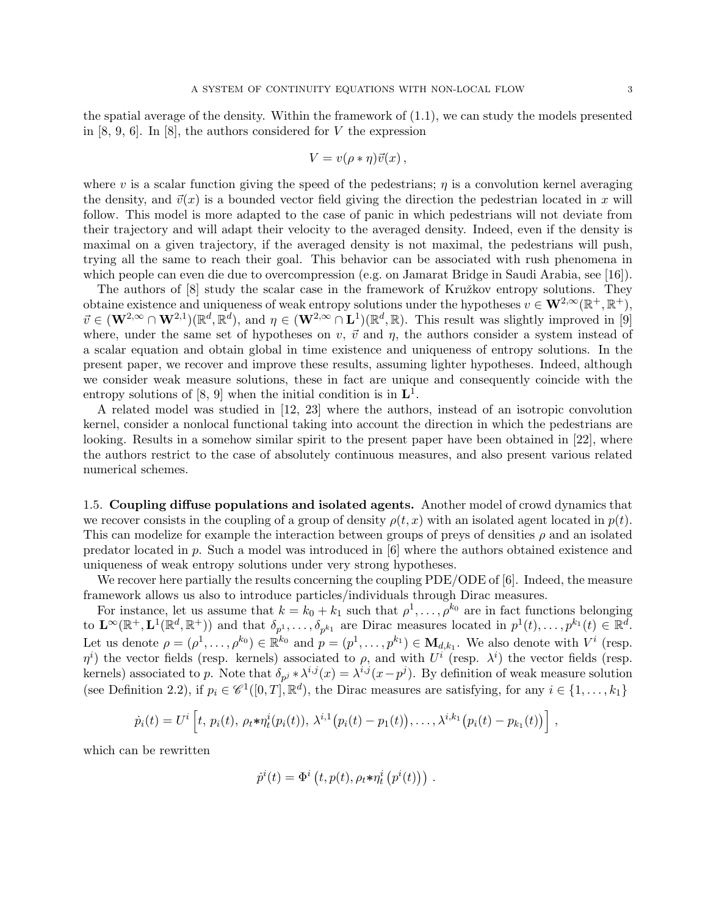the spatial average of the density. Within the framework of (1.1), we can study the models presented in  $[8, 9, 6]$ . In  $[8]$ , the authors considered for V the expression

$$
V = v(\rho * \eta)\vec{v}(x) ,
$$

where v is a scalar function giving the speed of the pedestrians;  $\eta$  is a convolution kernel averaging the density, and  $\vec{v}(x)$  is a bounded vector field giving the direction the pedestrian located in x will follow. This model is more adapted to the case of panic in which pedestrians will not deviate from their trajectory and will adapt their velocity to the averaged density. Indeed, even if the density is maximal on a given trajectory, if the averaged density is not maximal, the pedestrians will push, trying all the same to reach their goal. This behavior can be associated with rush phenomena in which people can even die due to overcompression (e.g. on Jamarat Bridge in Saudi Arabia, see [16]).

The authors of [8] study the scalar case in the framework of Kružkov entropy solutions. They obtaine existence and uniqueness of weak entropy solutions under the hypotheses  $v \in \mathbf{W}^{2,\infty}(\mathbb{R}^+, \mathbb{R}^+),$  $\vec{v} \in (\mathbf{W}^{2,\infty} \cap \mathbf{W}^{2,1})(\mathbb{R}^d, \mathbb{R}^d)$ , and  $\eta \in (\mathbf{W}^{2,\infty} \cap \mathbf{L}^{1})(\mathbb{R}^d, \mathbb{R})$ . This result was slightly improved in [9] where, under the same set of hypotheses on v,  $\vec{v}$  and  $\eta$ , the authors consider a system instead of a scalar equation and obtain global in time existence and uniqueness of entropy solutions. In the present paper, we recover and improve these results, assuming lighter hypotheses. Indeed, although we consider weak measure solutions, these in fact are unique and consequently coincide with the entropy solutions of [8, 9] when the initial condition is in  $\mathbf{L}^1$ .

A related model was studied in [12, 23] where the authors, instead of an isotropic convolution kernel, consider a nonlocal functional taking into account the direction in which the pedestrians are looking. Results in a somehow similar spirit to the present paper have been obtained in [22], where the authors restrict to the case of absolutely continuous measures, and also present various related numerical schemes.

1.5. Coupling diffuse populations and isolated agents. Another model of crowd dynamics that we recover consists in the coupling of a group of density  $\rho(t, x)$  with an isolated agent located in  $p(t)$ . This can modelize for example the interaction between groups of preys of densities  $\rho$  and an isolated predator located in  $p$ . Such a model was introduced in [6] where the authors obtained existence and uniqueness of weak entropy solutions under very strong hypotheses.

We recover here partially the results concerning the coupling PDE/ODE of [6]. Indeed, the measure framework allows us also to introduce particles/individuals through Dirac measures.

For instance, let us assume that  $k = k_0 + k_1$  such that  $\rho^1, \ldots, \rho^{k_0}$  are in fact functions belonging to  $\mathbf{L}^{\infty}(\mathbb{R}^+, \mathbf{L}^1(\mathbb{R}^d, \mathbb{R}^+))$  and that  $\delta_{p^1}, \ldots, \delta_{p^{k_1}}$  are Dirac measures located in  $p^1(t), \ldots, p^{k_1}(t) \in \mathbb{R}^d$ . Let us denote  $\rho = (\rho^1, \ldots, \rho^{k_0}) \in \mathbb{R}^{k_0}$  and  $p = (p^1, \ldots, p^{k_1}) \in \mathbf{M}_{d,k_1}$ . We also denote with  $V^i$  (resp.  $\eta^i$ ) the vector fields (resp. kernels) associated to  $\rho$ , and with  $U^i$  (resp.  $\lambda^i$ ) the vector fields (resp. kernels) associated to p. Note that  $\delta_{p^j} * \lambda^{i,j}(x) = \lambda^{i,j}(x-p^j)$ . By definition of weak measure solution (see Definition 2.2), if  $p_i \in \mathscr{C}^1([0,T],\mathbb{R}^d)$ , the Dirac measures are satisfying, for any  $i \in \{1,\ldots,k_1\}$ 

$$
\dot{p}_i(t) = U^i \left[ t, p_i(t), \rho_t * \eta_t^i(p_i(t)), \lambda^{i,1}(p_i(t) - p_1(t)), \ldots, \lambda^{i,k_1}(p_i(t) - p_{k_1}(t)) \right],
$$

which can be rewritten

$$
\dot{p}^i(t) = \Phi^i(t, p(t), \rho_t * \eta_t^i(p^i(t))) .
$$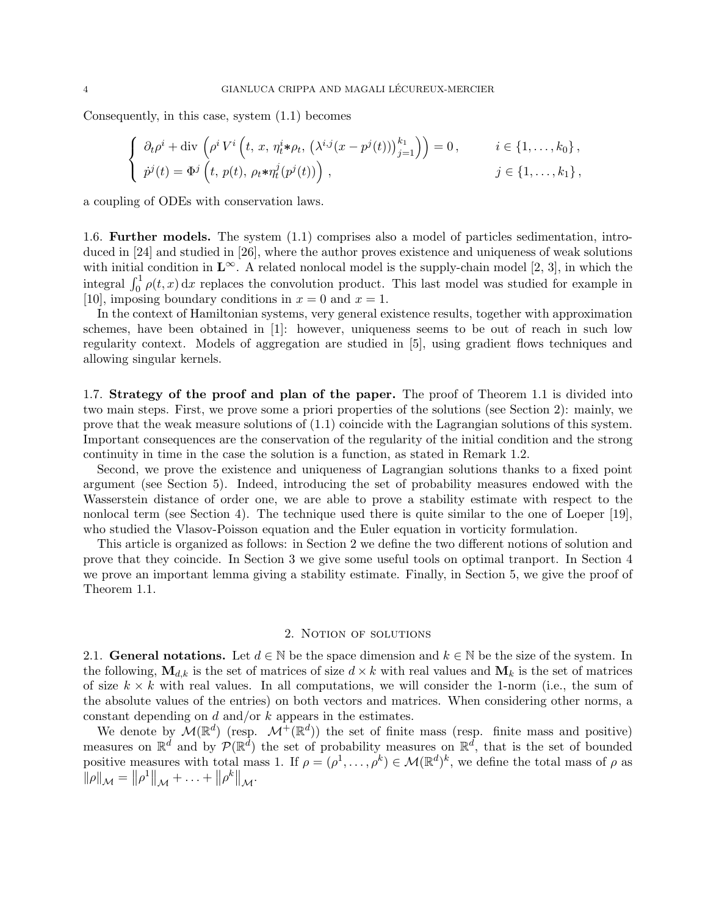Consequently, in this case, system (1.1) becomes

$$
\begin{cases}\n\partial_t \rho^i + \text{div}\left(\rho^i V^i\left(t, x, \eta_t^i * \rho_t, \left(\lambda^{i,j}(x - p^j(t))\right)_{j=1}^k\right)\right) = 0, & i \in \{1, \dots, k_0\}, \\
\dot{p}^j(t) = \Phi^j\left(t, p(t), \rho_t * \eta_t^j(p^j(t))\right), & j \in \{1, \dots, k_1\},\n\end{cases}
$$

a coupling of ODEs with conservation laws.

1.6. Further models. The system (1.1) comprises also a model of particles sedimentation, introduced in [24] and studied in [26], where the author proves existence and uniqueness of weak solutions with initial condition in  $\mathbf{L}^{\infty}$ . A related nonlocal model is the supply-chain model [2, 3], in which the integral  $\int_0^1 \rho(t, x) dx$  replaces the convolution product. This last model was studied for example in [10], imposing boundary conditions in  $x = 0$  and  $x = 1$ .

In the context of Hamiltonian systems, very general existence results, together with approximation schemes, have been obtained in [1]: however, uniqueness seems to be out of reach in such low regularity context. Models of aggregation are studied in [5], using gradient flows techniques and allowing singular kernels.

1.7. Strategy of the proof and plan of the paper. The proof of Theorem 1.1 is divided into two main steps. First, we prove some a priori properties of the solutions (see Section 2): mainly, we prove that the weak measure solutions of (1.1) coincide with the Lagrangian solutions of this system. Important consequences are the conservation of the regularity of the initial condition and the strong continuity in time in the case the solution is a function, as stated in Remark 1.2.

Second, we prove the existence and uniqueness of Lagrangian solutions thanks to a fixed point argument (see Section 5). Indeed, introducing the set of probability measures endowed with the Wasserstein distance of order one, we are able to prove a stability estimate with respect to the nonlocal term (see Section 4). The technique used there is quite similar to the one of Loeper [19], who studied the Vlasov-Poisson equation and the Euler equation in vorticity formulation.

This article is organized as follows: in Section 2 we define the two different notions of solution and prove that they coincide. In Section 3 we give some useful tools on optimal tranport. In Section 4 we prove an important lemma giving a stability estimate. Finally, in Section 5, we give the proof of Theorem 1.1.

## 2. NOTION OF SOLUTIONS

2.1. General notations. Let  $d \in \mathbb{N}$  be the space dimension and  $k \in \mathbb{N}$  be the size of the system. In the following,  $\mathbf{M}_{d,k}$  is the set of matrices of size  $d \times k$  with real values and  $\mathbf{M}_k$  is the set of matrices of size  $k \times k$  with real values. In all computations, we will consider the 1-norm (i.e., the sum of the absolute values of the entries) on both vectors and matrices. When considering other norms, a constant depending on  $d$  and/or  $k$  appears in the estimates.

We denote by  $\mathcal{M}(\mathbb{R}^d)$  (resp.  $\mathcal{M}^+(\mathbb{R}^d)$ ) the set of finite mass (resp. finite mass and positive) measures on  $\mathbb{R}^d$  and by  $\mathcal{P}(\mathbb{R}^d)$  the set of probability measures on  $\mathbb{R}^d$ , that is the set of bounded positive measures with total mass 1. If  $\rho = (\rho^1, \ldots, \rho^k) \in \mathcal{M}(\mathbb{R}^d)^k$ , we define the total mass of  $\rho$  as  $\|\rho\|_{\mathcal{M}} = \|\rho^1\|_{\mathcal{M}} + \ldots + \|\rho^k\|_{\mathcal{M}}.$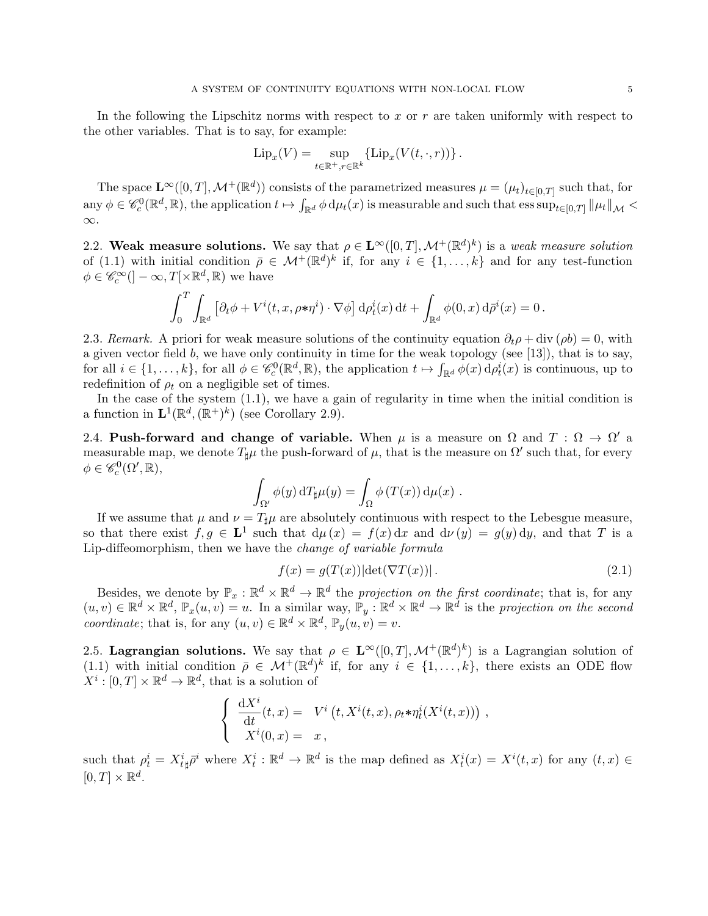In the following the Lipschitz norms with respect to x or  $r$  are taken uniformly with respect to the other variables. That is to say, for example:

$$
\operatorname{Lip}_x(V) = \sup_{t \in \mathbb{R}^+, r \in \mathbb{R}^k} \{ \operatorname{Lip}_x(V(t, \cdot, r)) \}.
$$

The space  $\mathbf{L}^{\infty}([0,T],\mathcal{M}^{+}(\mathbb{R}^{d}))$  consists of the parametrized measures  $\mu = (\mu_{t})_{t\in[0,T]}$  such that, for  $\text{any } \phi \in \mathscr{C}_c^0(\mathbb{R}^d, \mathbb{R})$ , the application  $t \mapsto \int_{\mathbb{R}^d} \phi \, \mathrm{d}\mu_t(x)$  is measurable and such that  $\text{ess} \sup_{t \in [0,T]} ||\mu_t||_{\mathcal{M}}$ ∞.

2.2. Weak measure solutions. We say that  $\rho \in \mathbf{L}^{\infty}([0,T],\mathcal{M}^{+}(\mathbb{R}^{d})^{k})$  is a weak measure solution of (1.1) with initial condition  $\bar{\rho} \in \mathcal{M}^+(\mathbb{R}^d)^k$  if, for any  $i \in \{1, \ldots, k\}$  and for any test-function  $\phi \in \mathscr{C}_c^{\infty}(\mathcal{I} - \infty, T[\times \mathbb{R}^d, \mathbb{R})$  we have

$$
\int_0^T \int_{\mathbb{R}^d} \left[ \partial_t \phi + V^i(t, x, \rho \cdot \eta^i) \cdot \nabla \phi \right] d\rho_t^i(x) dt + \int_{\mathbb{R}^d} \phi(0, x) d\rho^i(x) = 0.
$$

2.3. Remark. A priori for weak measure solutions of the continuity equation  $\partial_t \rho + \text{div}(\rho b) = 0$ , with a given vector field b, we have only continuity in time for the weak topology (see [13]), that is to say, for all  $i \in \{1,\ldots,k\}$ , for all  $\phi \in \mathscr{C}_c^0(\mathbb{R}^d,\mathbb{R})$ , the application  $t \mapsto \int_{\mathbb{R}^d} \phi(x) d\rho_t^i(x)$  is continuous, up to redefinition of  $\rho_t$  on a negligible set of times.

In the case of the system (1.1), we have a gain of regularity in time when the initial condition is a function in  $\mathbf{L}^1(\mathbb{R}^d, (\mathbb{R}^+)^k)$  (see Corollary 2.9).

2.4. Push-forward and change of variable. When  $\mu$  is a measure on  $\Omega$  and  $T : \Omega \to \Omega'$  a measurable map, we denote  $T_{\sharp}\mu$  the push-forward of  $\mu$ , that is the measure on  $\Omega'$  such that, for every  $\phi \in \mathscr{C}_c^0(\Omega', \mathbb{R}),$ 

$$
\int_{\Omega'} \phi(y) \, dT_{\sharp}\mu(y) = \int_{\Omega} \phi(T(x)) \, d\mu(x) .
$$

If we assume that  $\mu$  and  $\nu = T_{\sharp}\mu$  are absolutely continuous with respect to the Lebesgue measure, so that there exist  $f, g \in L^1$  such that  $d\mu(x) = f(x) dx$  and  $d\nu(y) = g(y) dy$ , and that T is a Lip-diffeomorphism, then we have the change of variable formula

$$
f(x) = g(T(x))|\det(\nabla T(x))|.
$$
\n(2.1)

Besides, we denote by  $\mathbb{P}_x : \mathbb{R}^d \times \mathbb{R}^d \to \mathbb{R}^d$  the projection on the first coordinate; that is, for any  $(u, v) \in \mathbb{R}^d \times \mathbb{R}^d$ ,  $\mathbb{P}_x(u, v) = u$ . In a similar way,  $\mathbb{P}_y : \mathbb{R}^d \times \mathbb{R}^d \to \mathbb{R}^d$  is the projection on the second coordinate; that is, for any  $(u, v) \in \mathbb{R}^d \times \mathbb{R}^d$ ,  $\mathbb{P}_y(u, v) = v$ .

2.5. Lagrangian solutions. We say that  $\rho \in L^{\infty}([0,T], \mathcal{M}^+(\mathbb{R}^d)^k)$  is a Lagrangian solution of (1.1) with initial condition  $\bar{\rho} \in \mathcal{M}^+(\mathbb{R}^d)^k$  if, for any  $i \in \{1, \ldots, k\}$ , there exists an ODE flow  $X^i : [0, T] \times \mathbb{R}^d \to \mathbb{R}^d$ , that is a solution of

$$
\begin{cases}\n\frac{\mathrm{d}X^i}{\mathrm{d}t}(t,x) = V^i(t,X^i(t,x),\rho_t * \eta_t^i(X^i(t,x))) \\
X^i(0,x) = x,\n\end{cases}
$$

such that  $\rho_t^i = X_{t\mu}^i \bar{\rho}^i$  where  $X_t^i : \mathbb{R}^d \to \mathbb{R}^d$  is the map defined as  $X_t^i(x) = X^i(t, x)$  for any  $(t, x) \in$  $[0, T] \times \mathbb{R}^d$ .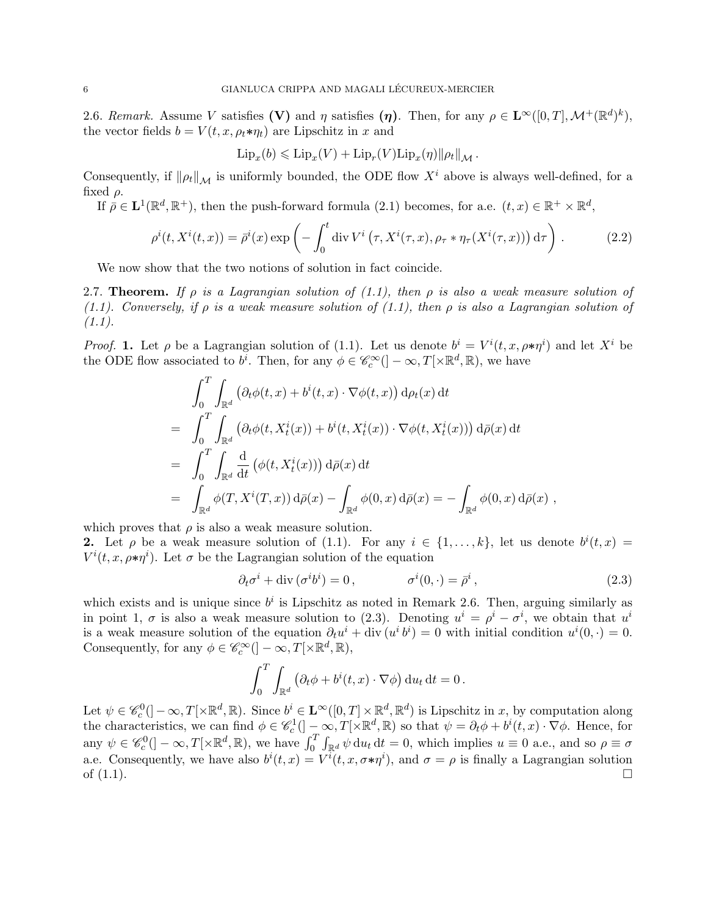2.6. Remark. Assume V satisfies (V) and  $\eta$  satisfies  $(\eta)$ . Then, for any  $\rho \in \mathbf{L}^{\infty}([0,T], \mathcal{M}^{+}(\mathbb{R}^{d})^{k}),$ the vector fields  $b = V(t, x, \rho_t * \eta_t)$  are Lipschitz in x and

$$
\mathrm{Lip}_x(b) \leqslant \mathrm{Lip}_x(V) + \mathrm{Lip}_r(V)\mathrm{Lip}_x(\eta) \|\rho_t\|_{\mathcal{M}}.
$$

Consequently, if  $\|\rho_t\|_{\mathcal{M}}$  is uniformly bounded, the ODE flow  $X^i$  above is always well-defined, for a fixed  $\rho$ .

If  $\bar{\rho} \in L^1(\mathbb{R}^d, \mathbb{R}^+)$ , then the push-forward formula (2.1) becomes, for a.e.  $(t, x) \in \mathbb{R}^+ \times \mathbb{R}^d$ ,

$$
\rho^{i}(t, X^{i}(t, x)) = \bar{\rho}^{i}(x) \exp\left(-\int_{0}^{t} \operatorname{div} V^{i}\left(\tau, X^{i}(\tau, x), \rho_{\tau} * \eta_{\tau}(X^{i}(\tau, x))\right) d\tau\right).
$$
 (2.2)

We now show that the two notions of solution in fact coincide.

2.7. Theorem. If  $\rho$  is a Lagrangian solution of (1.1), then  $\rho$  is also a weak measure solution of (1.1). Conversely, if  $\rho$  is a weak measure solution of (1.1), then  $\rho$  is also a Lagrangian solution of  $(1.1).$ 

*Proof.* 1. Let  $\rho$  be a Lagrangian solution of (1.1). Let us denote  $b^i = V^i(t, x, \rho * \eta^i)$  and let  $X^i$  be the ODE flow associated to  $b^i$ . Then, for any  $\phi \in \mathscr{C}_c^{\infty}(\mathcal{I} - \infty, T[\times \mathbb{R}^d, \mathbb{R})$ , we have

$$
\int_0^T \int_{\mathbb{R}^d} \left( \partial_t \phi(t, x) + b^i(t, x) \cdot \nabla \phi(t, x) \right) d\rho_t(x) dt
$$
\n
$$
= \int_0^T \int_{\mathbb{R}^d} \left( \partial_t \phi(t, X_t^i(x)) + b^i(t, X_t^i(x)) \cdot \nabla \phi(t, X_t^i(x)) \right) d\bar{\rho}(x) dt
$$
\n
$$
= \int_0^T \int_{\mathbb{R}^d} \frac{d}{dt} \left( \phi(t, X_t^i(x)) \right) d\bar{\rho}(x) dt
$$
\n
$$
= \int_{\mathbb{R}^d} \phi(T, X^i(T, x)) d\bar{\rho}(x) - \int_{\mathbb{R}^d} \phi(0, x) d\bar{\rho}(x) = - \int_{\mathbb{R}^d} \phi(0, x) d\bar{\rho}(x) ,
$$

which proves that  $\rho$  is also a weak measure solution.

**2.** Let  $\rho$  be a weak measure solution of (1.1). For any  $i \in \{1, ..., k\}$ , let us denote  $b^{i}(t, x)$  $V^{i}(t, x, \rho * \eta^{i})$ . Let  $\sigma$  be the Lagrangian solution of the equation

$$
\partial_t \sigma^i + \text{div}(\sigma^i b^i) = 0, \qquad \sigma^i(0, \cdot) = \bar{\rho}^i, \qquad (2.3)
$$

which exists and is unique since  $b^i$  is Lipschitz as noted in Remark 2.6. Then, arguing similarly as in point 1,  $\sigma$  is also a weak measure solution to (2.3). Denoting  $u^i = \rho^i - \sigma^i$ , we obtain that  $u^i$ is a weak measure solution of the equation  $\partial_t u^i + \text{div}(u^i b^i) = 0$  with initial condition  $u^i(0, \cdot) = 0$ . Consequently, for any  $\phi \in \mathscr{C}_c^{\infty}([-\infty,T[\times \mathbb{R}^d,\mathbb{R}),$ 

$$
\int_0^T \int_{\mathbb{R}^d} \left( \partial_t \phi + b^i(t, x) \cdot \nabla \phi \right) \mathrm{d}u_t \, \mathrm{d}t = 0 \, .
$$

Let  $\psi \in \mathscr{C}_c^0(]-\infty,T[\times \mathbb{R}^d,\mathbb{R})$ . Since  $b^i \in \mathbf{L}^{\infty}([0,T] \times \mathbb{R}^d,\mathbb{R}^d)$  is Lipschitz in x, by computation along the characteristics, we can find  $\phi \in \mathscr{C}_c^1(]-\infty,T[\times \mathbb{R}^d,\mathbb{R})$  so that  $\psi = \partial_t \phi + b^i(t,x) \cdot \nabla \phi$ . Hence, for any  $\psi \in \mathscr{C}_c^0([-\infty,T[\times \mathbb{R}^d,\mathbb{R}),$  we have  $\int_0^T \int_{\mathbb{R}^d} \psi \,du_t \,dt = 0$ , which implies  $u \equiv 0$  a.e., and so  $\rho \equiv \sigma$ a.e. Consequently, we have also  $b^{i}(t, x) = V^{i}(t, x, \sigma * \eta^{i})$ , and  $\sigma = \rho$  is finally a Lagrangian solution of  $(1.1)$ .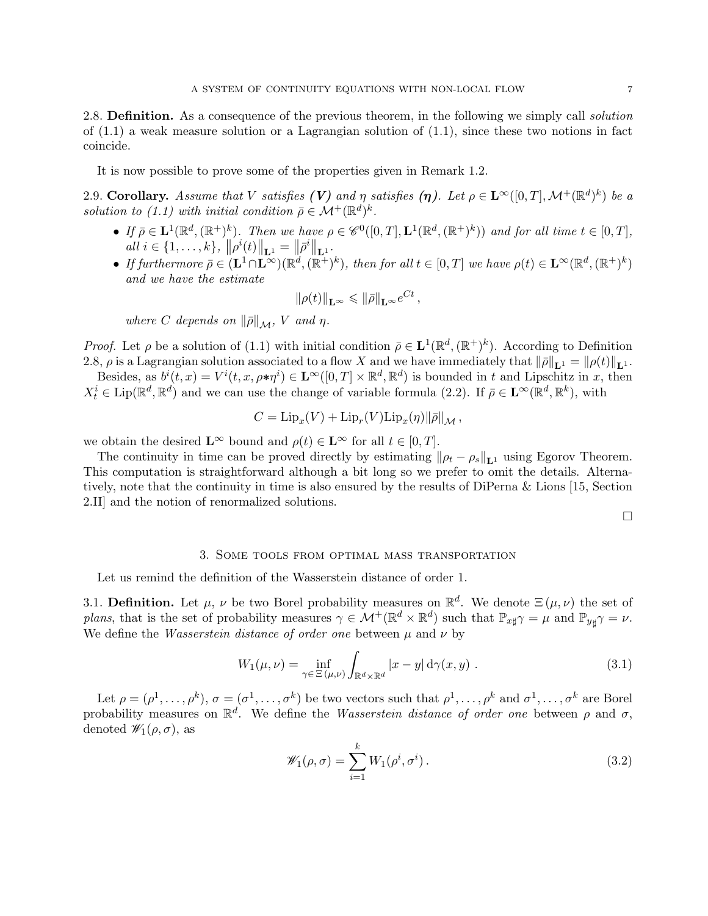2.8. **Definition.** As a consequence of the previous theorem, in the following we simply call *solution* of  $(1.1)$  a weak measure solution or a Lagrangian solution of  $(1.1)$ , since these two notions in fact coincide.

It is now possible to prove some of the properties given in Remark 1.2.

2.9. Corollary. Assume that V satisfies (V) and  $\eta$  satisfies ( $\eta$ ). Let  $\rho \in \mathbf{L}^{\infty}([0,T],\mathcal{M}^{+}(\mathbb{R}^{d})^{k})$  be a solution to (1.1) with initial condition  $\bar{\rho} \in \mathcal{M}^+(\mathbb{R}^d)^k$ .

- If  $\bar{\rho} \in \mathbf{L}^1(\mathbb{R}^d, (\mathbb{R}^+)^k)$ . Then we have  $\rho \in \mathscr{C}^0([0,T], \mathbf{L}^1(\mathbb{R}^d, (\mathbb{R}^+)^k))$  and for all time  $t \in [0,T]$ , all  $i \in \{1, ..., k\}, \|\rho^{i}(t)\|_{\mathbf{L}^{1}} = \|\bar{\rho}^{i}\|_{\mathbf{L}^{1}}.$
- If furthermore  $\bar{\rho} \in (\mathbf{L}^1 \cap \mathbf{L}^{\infty})(\mathbb{R}^d, (\mathbb{R}^+)^k)$ , then for all  $t \in [0, T]$  we have  $\rho(t) \in \mathbf{L}^{\infty}(\mathbb{R}^d, (\mathbb{R}^+)^k)$ and we have the estimate

$$
\|\rho(t)\|_{\mathbf{L}^{\infty}} \leqslant \|\bar{\rho}\|_{\mathbf{L}^{\infty}} e^{Ct},
$$

where C depends on  $\|\bar{\rho}\|_{\mathcal{M}}$ , V and  $\eta$ .

*Proof.* Let  $\rho$  be a solution of (1.1) with initial condition  $\bar{\rho} \in L^1(\mathbb{R}^d, (\mathbb{R}^+)^k)$ . According to Definition 2.8,  $\rho$  is a Lagrangian solution associated to a flow X and we have immediately that  $\|\bar{\rho}\|_{L^1} = \|\rho(t)\|_{L^1}$ .

Besides, as  $b^{i}(t,x) = V^{i}(t,x,\rho*\eta^{i}) \in \mathbf{L}^{\infty}([0,T] \times \mathbb{R}^{d},\mathbb{R}^{d})$  is bounded in t and Lipschitz in x, then  $X_t^i \in \text{Lip}(\mathbb{R}^d, \mathbb{R}^d)$  and we can use the change of variable formula (2.2). If  $\bar{\rho} \in \mathbf{L}^{\infty}(\mathbb{R}^d, \mathbb{R}^k)$ , with

$$
C = \mathrm{Lip}_x(V) + \mathrm{Lip}_r(V)\mathrm{Lip}_x(\eta) \|\overline{\rho}\|_{\mathcal{M}},
$$

we obtain the desired  $\mathbf{L}^{\infty}$  bound and  $\rho(t) \in \mathbf{L}^{\infty}$  for all  $t \in [0, T]$ .

The continuity in time can be proved directly by estimating  $\|\rho_t - \rho_s\|_{\mathbf{L}^1}$  using Egorov Theorem. This computation is straightforward although a bit long so we prefer to omit the details. Alternatively, note that the continuity in time is also ensured by the results of DiPerna & Lions [15, Section 2.II] and the notion of renormalized solutions.

 $\Box$ 

### 3. Some tools from optimal mass transportation

Let us remind the definition of the Wasserstein distance of order 1.

3.1. Definition. Let  $\mu$ ,  $\nu$  be two Borel probability measures on  $\mathbb{R}^d$ . We denote  $\Xi(\mu,\nu)$  the set of plans, that is the set of probability measures  $\gamma \in \mathcal{M}^+(\mathbb{R}^d \times \mathbb{R}^d)$  such that  $\mathbb{P}_{x\sharp}\gamma = \mu$  and  $\mathbb{P}_{y\sharp}\gamma = \nu$ . We define the *Wasserstein distance of order one* between  $\mu$  and  $\nu$  by

$$
W_1(\mu,\nu) = \inf_{\gamma \in \Xi(\mu,\nu)} \int_{\mathbb{R}^d \times \mathbb{R}^d} |x - y| \, \mathrm{d}\gamma(x,y) \; . \tag{3.1}
$$

Let  $\rho = (\rho^1, \ldots, \rho^k), \sigma = (\sigma^1, \ldots, \sigma^k)$  be two vectors such that  $\rho^1, \ldots, \rho^k$  and  $\sigma^1, \ldots, \sigma^k$  are Borel probability measures on  $\mathbb{R}^d$ . We define the *Wasserstein distance of order one* between  $\rho$  and  $\sigma$ , denoted  $\mathscr{W}_1(\rho,\sigma)$ , as

$$
\mathscr{W}_1(\rho,\sigma) = \sum_{i=1}^k W_1(\rho^i,\sigma^i).
$$
\n(3.2)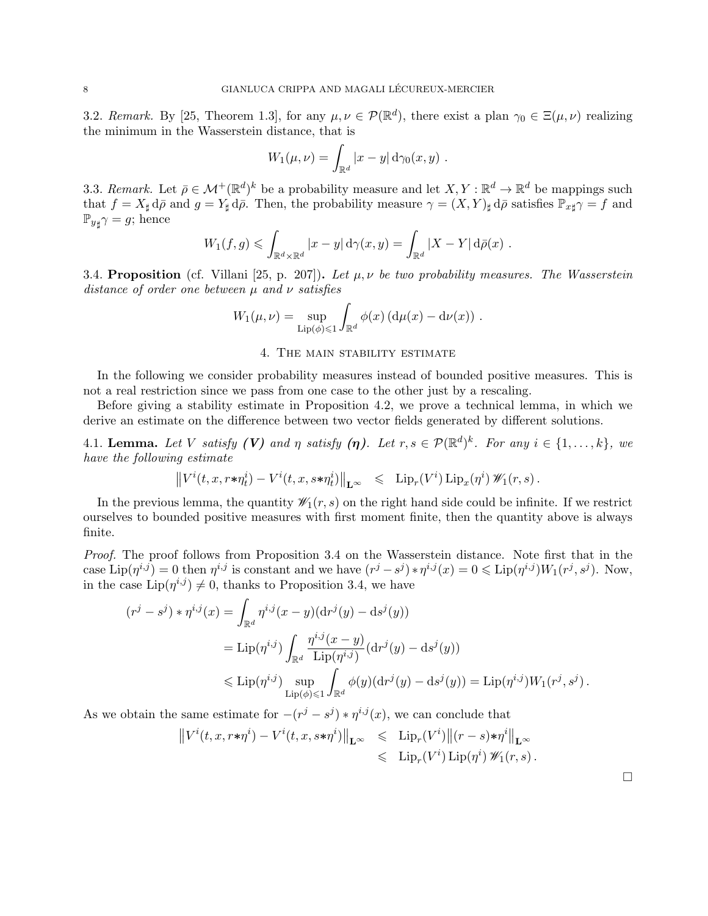3.2. Remark. By [25, Theorem 1.3], for any  $\mu, \nu \in \mathcal{P}(\mathbb{R}^d)$ , there exist a plan  $\gamma_0 \in \Xi(\mu, \nu)$  realizing the minimum in the Wasserstein distance, that is

$$
W_1(\mu,\nu)=\int_{\mathbb{R}^d}|x-y|\,\mathrm{d}\gamma_0(x,y).
$$

3.3. Remark. Let  $\bar{\rho} \in \mathcal{M}^+(\mathbb{R}^d)^k$  be a probability measure and let  $X, Y : \mathbb{R}^d \to \mathbb{R}^d$  be mappings such that  $f = X_{\sharp} d\bar{\rho}$  and  $g = Y_{\sharp} d\bar{\rho}$ . Then, the probability measure  $\gamma = (X, Y)_{\sharp} d\bar{\rho}$  satisfies  $\mathbb{P}_{x\sharp}\gamma = f$  and  $\mathbb{P}_{y\sharp}\gamma = g$ ; hence

$$
W_1(f,g) \leqslant \int_{\mathbb{R}^d \times \mathbb{R}^d} |x-y| \, \mathrm{d}\gamma(x,y) = \int_{\mathbb{R}^d} |X-Y| \, \mathrm{d}\bar{\rho}(x) \; .
$$

3.4. Proposition (cf. Villani [25, p. 207]). Let  $\mu, \nu$  be two probability measures. The Wasserstein distance of order one between  $\mu$  and  $\nu$  satisfies

$$
W_1(\mu,\nu) = \sup_{\text{Lip}(\phi) \leq 1} \int_{\mathbb{R}^d} \phi(x) \left( d\mu(x) - d\nu(x) \right) .
$$

#### 4. The main stability estimate

In the following we consider probability measures instead of bounded positive measures. This is not a real restriction since we pass from one case to the other just by a rescaling.

Before giving a stability estimate in Proposition 4.2, we prove a technical lemma, in which we derive an estimate on the difference between two vector fields generated by different solutions.

4.1. Lemma. Let V satisfy (V) and  $\eta$  satisfy  $(\eta)$ . Let  $r, s \in \mathcal{P}(\mathbb{R}^d)^k$ . For any  $i \in \{1, ..., k\}$ , we have the following estimate

$$
\left\|V^i(t, x, r*\eta^i_t) - V^i(t, x, s*\eta^i_t)\right\|_{\mathbf{L}^\infty} \leq \left\| \mathrm{Lip}_r(V^i) \, \mathrm{Lip}_x(\eta^i) \, \mathscr{W}_1(r, s) \right\|.
$$

In the previous lemma, the quantity  $\mathscr{W}_1(r, s)$  on the right hand side could be infinite. If we restrict ourselves to bounded positive measures with first moment finite, then the quantity above is always finite.

Proof. The proof follows from Proposition 3.4 on the Wasserstein distance. Note first that in the case  $\text{Lip}(\eta^{i,j}) = 0$  then  $\eta^{i,j}$  is constant and we have  $(r^j - s^j) * \eta^{i,j}(x) = 0 \leq \text{Lip}(\eta^{i,j})W_1(r^j, s^j)$ . Now, in the case  $\text{Lip}(\eta^{i,j}) \neq 0$ , thanks to Proposition 3.4, we have

$$
(r^{j} - s^{j}) * \eta^{i,j}(x) = \int_{\mathbb{R}^{d}} \eta^{i,j}(x - y)(\mathrm{d}r^{j}(y) - \mathrm{d}s^{j}(y))
$$
  
=  $\mathrm{Lip}(\eta^{i,j}) \int_{\mathbb{R}^{d}} \frac{\eta^{i,j}(x - y)}{\mathrm{Lip}(\eta^{i,j})} (\mathrm{d}r^{j}(y) - \mathrm{d}s^{j}(y))$   
 $\leq \mathrm{Lip}(\eta^{i,j}) \sup_{\mathrm{Lip}(\phi) \leq 1} \int_{\mathbb{R}^{d}} \phi(y)(\mathrm{d}r^{j}(y) - \mathrm{d}s^{j}(y)) = \mathrm{Lip}(\eta^{i,j}) W_{1}(r^{j}, s^{j}).$ 

As we obtain the same estimate for  $-(r^j - s^j) * \eta^{i,j}(x)$ , we can conclude that

$$
||V^{i}(t, x, r*\eta^{i}) - V^{i}(t, x, s*\eta^{i})||_{\mathbf{L}^{\infty}} \leq \mathrm{Lip}_{r}(V^{i}) ||(r-s)*\eta^{i}||_{\mathbf{L}^{\infty}}
$$
  

$$
\leq \mathrm{Lip}_{r}(V^{i}) \mathrm{Lip}(\eta^{i}) \mathscr{W}_{1}(r, s).
$$

 $\Box$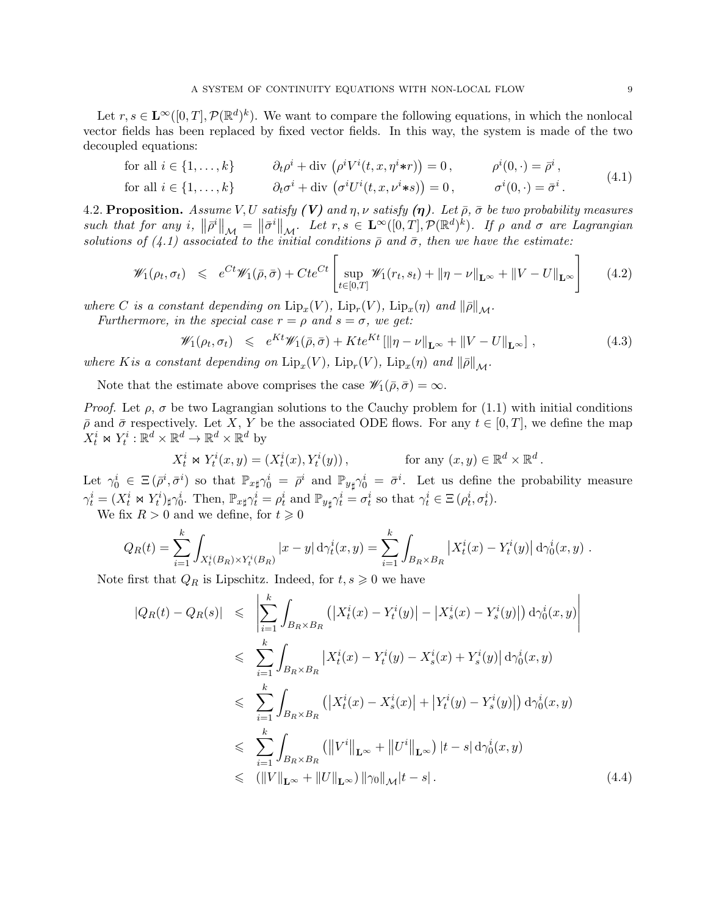Let  $r, s \in \mathbf{L}^{\infty}([0,T], \mathcal{P}(\mathbb{R}^d)^k)$ . We want to compare the following equations, in which the nonlocal vector fields has been replaced by fixed vector fields. In this way, the system is made of the two decoupled equations:

for all 
$$
i \in \{1, ..., k\}
$$
  $\partial_t \rho^i + \text{div} \left( \rho^i V^i(t, x, \eta^i * r) \right) = 0, \qquad \rho^i(0, \cdot) = \bar{\rho}^i,$  (4.1)

for all 
$$
i \in \{1, ..., k\}
$$
  $\partial_t \sigma^i + \text{div} \left( \sigma^i U^i(t, x, \nu^i * s) \right) = 0, \qquad \sigma^i(0, \cdot) = \bar{\sigma}^i.$  (1.1)

4.2. Proposition. Assume V, U satisfy (V) and  $\eta$ ,  $\nu$  satisfy  $(\eta)$ . Let  $\bar{\rho}$ ,  $\bar{\sigma}$  be two probability measures such that for any i,  $\|\bar{\rho}^i\|_{\mathcal{M}} = \|\bar{\sigma}^i\|_{\mathcal{M}}$ . Let  $r, s \in \mathbf{L}^{\infty}([0,T], \mathcal{P}(\mathbb{R}^d)^k)$ . If  $\rho$  and  $\sigma$  are Lagrangian solutions of (4.1) associated to the initial conditions  $\bar{\rho}$  and  $\bar{\sigma}$ , then we have the estimate:

$$
\mathscr{W}_1(\rho_t, \sigma_t) \leq e^{Ct} \mathscr{W}_1(\bar{\rho}, \bar{\sigma}) + Cte^{Ct} \left[ \sup_{t \in [0,T]} \mathscr{W}_1(r_t, s_t) + \|\eta - \nu\|_{\mathbf{L}^{\infty}} + \|V - U\|_{\mathbf{L}^{\infty}} \right] \tag{4.2}
$$

where C is a constant depending on  $\text{Lip}_x(V)$ ,  $\text{Lip}_r(V)$ ,  $\text{Lip}_x(\eta)$  and  $\|\overline{\rho}\|_{\mathcal{M}}$ . Furthermore, in the special case  $r = \rho$  and  $s = \sigma$ , we get:

$$
\mathscr{W}_1(\rho_t, \sigma_t) \leq e^{Kt} \mathscr{W}_1(\bar{\rho}, \bar{\sigma}) + Kt e^{Kt} \left[ \|\eta - \nu\|_{\mathbf{L}^{\infty}} + \|V - U\|_{\mathbf{L}^{\infty}} \right],
$$
\n(4.3)

where K is a constant depending on  $\text{Lip}_x(V)$ ,  $\text{Lip}_r(V)$ ,  $\text{Lip}_x(\eta)$  and  $\|\overline{\rho}\|_{\mathcal{M}}$ .

Note that the estimate above comprises the case  $\mathscr{W}_1(\bar{\rho}, \bar{\sigma}) = \infty$ .

*Proof.* Let  $\rho$ ,  $\sigma$  be two Lagrangian solutions to the Cauchy problem for (1.1) with initial conditions  $\bar{\rho}$  and  $\bar{\sigma}$  respectively. Let X, Y be the associated ODE flows. For any  $t \in [0, T]$ , we define the map  $X_t^i \bowtie Y_t^i : \mathbb{R}^d \times \mathbb{R}^d \to \mathbb{R}^d \times \mathbb{R}^d$  by

$$
X_t^i \bowtie Y_t^i(x, y) = (X_t^i(x), Y_t^i(y)), \qquad \text{for any } (x, y) \in \mathbb{R}^d \times \mathbb{R}^d.
$$

Let  $\gamma_0^i \in \Xi(\bar{\rho}^i, \bar{\sigma}^i)$  so that  $\mathbb{P}_{x\sharp}\gamma_0^i = \bar{\rho}^i$  and  $\mathbb{P}_{y\sharp}\gamma_0^i = \bar{\sigma}^i$ . Let us define the probability measure  $\gamma_t^i = (X_t^i \bowtie Y_t^i)_{\sharp} \gamma_0^i$ . Then,  $\mathbb{P}_{x\sharp} \gamma_t^i = \rho_t^i$  and  $\mathbb{P}_{y\sharp} \gamma_t^i = \sigma_t^i$  so that  $\gamma_t^i \in \Xi(\rho_t^i, \sigma_t^i)$ .

We fix  $R > 0$  and we define, for  $t \ge 0$ 

$$
Q_R(t) = \sum_{i=1}^k \int_{X_t^i(B_R) \times Y_t^i(B_R)} |x - y| \, d\gamma_t^i(x, y) = \sum_{i=1}^k \int_{B_R \times B_R} |X_t^i(x) - Y_t^i(y)| \, d\gamma_0^i(x, y) \, .
$$

Note first that  $Q_R$  is Lipschitz. Indeed, for  $t, s \geq 0$  we have

$$
|Q_R(t) - Q_R(s)| \leq \left| \sum_{i=1}^k \int_{B_R \times B_R} (|X_t^i(x) - Y_t^i(y)| - |X_s^i(x) - Y_s^i(y)|) d\gamma_0^i(x, y) \right|
$$
  
\n
$$
\leq \sum_{i=1}^k \int_{B_R \times B_R} |X_t^i(x) - Y_t^i(y) - X_s^i(x) + Y_s^i(y)| d\gamma_0^i(x, y)
$$
  
\n
$$
\leq \sum_{i=1}^k \int_{B_R \times B_R} (|X_t^i(x) - X_s^i(x)| + |Y_t^i(y) - Y_s^i(y)|) d\gamma_0^i(x, y)
$$
  
\n
$$
\leq \sum_{i=1}^k \int_{B_R \times B_R} (||V^i||_{\mathbf{L}^\infty} + ||U^i||_{\mathbf{L}^\infty}) |t - s| d\gamma_0^i(x, y)
$$
  
\n
$$
\leq (||V||_{\mathbf{L}^\infty} + ||U||_{\mathbf{L}^\infty}) ||\gamma_0||_{\mathcal{M}} |t - s|.
$$
 (4.4)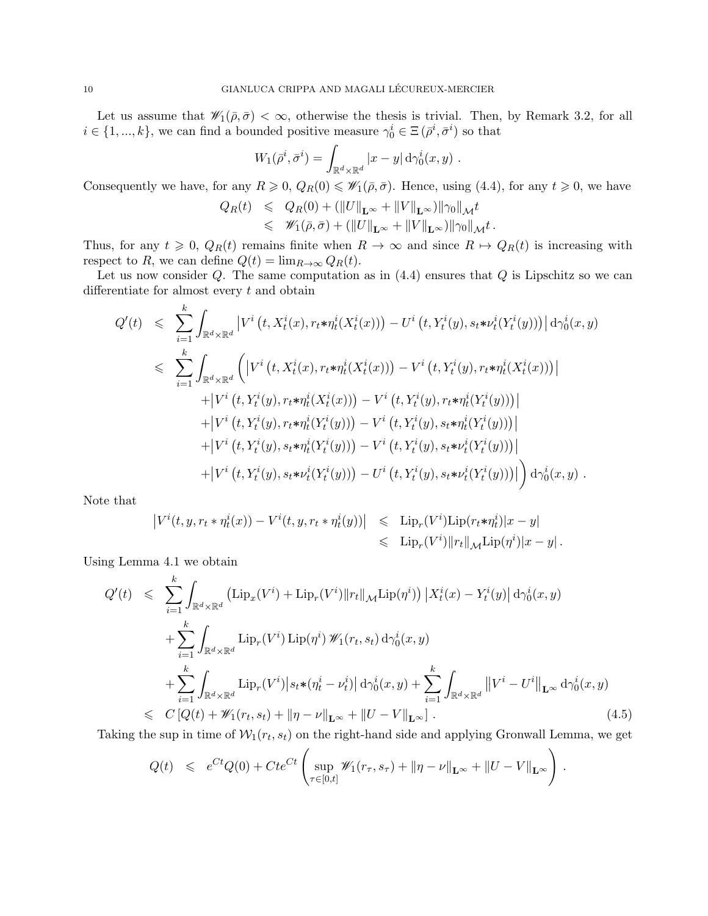Let us assume that  $\mathscr{W}_1(\bar{\rho}, \bar{\sigma}) < \infty$ , otherwise the thesis is trivial. Then, by Remark 3.2, for all  $i \in \{1, ..., k\}$ , we can find a bounded positive measure  $\gamma_0^i \in \Xi(\bar{\rho}^i, \bar{\sigma}^i)$  so that

$$
W_1(\bar{\rho}^i, \bar{\sigma}^i) = \int_{\mathbb{R}^d \times \mathbb{R}^d} |x - y| \, \mathrm{d}\gamma_0^i(x, y) \; .
$$

Consequently we have, for any  $R \geq 0$ ,  $Q_R(0) \leq \mathscr{W}_1(\bar{\rho}, \bar{\sigma})$ . Hence, using (4.4), for any  $t \geq 0$ , we have

$$
\begin{array}{rcl}\nQ_R(t) & \leqslant & Q_R(0) + \left( \|U\|_{\mathbf{L}^\infty} + \|V\|_{\mathbf{L}^\infty} \right) \|\gamma_0\|_{\mathcal{M}} t \\
& \leqslant & \mathscr{W}_1(\bar{\rho}, \bar{\sigma}) + \left( \|U\|_{\mathbf{L}^\infty} + \|V\|_{\mathbf{L}^\infty} \right) \|\gamma_0\|_{\mathcal{M}} t \,.\n\end{array}
$$

Thus, for any  $t \geq 0$ ,  $Q_R(t)$  remains finite when  $R \to \infty$  and since  $R \to Q_R(t)$  is increasing with respect to R, we can define  $Q(t) = \lim_{R\to\infty} Q_R(t)$ .

Let us now consider  $Q$ . The same computation as in  $(4.4)$  ensures that  $Q$  is Lipschitz so we can differentiate for almost every t and obtain

$$
Q'(t) \leq \sum_{i=1}^{k} \int_{\mathbb{R}^{d} \times \mathbb{R}^{d}} \left| V^{i} \left( t, X_{t}^{i}(x), r_{t} * \eta_{t}^{i}(X_{t}^{i}(x)) \right) - U^{i} \left( t, Y_{t}^{i}(y), s_{t} * \nu_{t}^{i}(Y_{t}^{i}(y)) \right) \right| d\gamma_{0}^{i}(x, y)
$$
  
\n
$$
\leq \sum_{i=1}^{k} \int_{\mathbb{R}^{d} \times \mathbb{R}^{d}} \left( \left| V^{i} \left( t, X_{t}^{i}(x), r_{t} * \eta_{t}^{i}(X_{t}^{i}(x)) \right) - V^{i} \left( t, Y_{t}^{i}(y), r_{t} * \eta_{t}^{i}(X_{t}^{i}(x)) \right) \right|
$$
  
\n
$$
+ \left| V^{i} \left( t, Y_{t}^{i}(y), r_{t} * \eta_{t}^{i}(X_{t}^{i}(x)) \right) - V^{i} \left( t, Y_{t}^{i}(y), r_{t} * \eta_{t}^{i}(Y_{t}^{i}(y)) \right) \right|
$$
  
\n
$$
+ \left| V^{i} \left( t, Y_{t}^{i}(y), r_{t} * \eta_{t}^{i}(Y_{t}^{i}(y)) \right) - V^{i} \left( t, Y_{t}^{i}(y), s_{t} * \eta_{t}^{i}(Y_{t}^{i}(y)) \right) \right|
$$
  
\n
$$
+ \left| V^{i} \left( t, Y_{t}^{i}(y), s_{t} * \eta_{t}^{i}(Y_{t}^{i}(y)) \right) - V^{i} \left( t, Y_{t}^{i}(y), s_{t} * \nu_{t}^{i}(Y_{t}^{i}(y)) \right) \right|
$$
  
\n
$$
+ \left| V^{i} \left( t, Y_{t}^{i}(y), s_{t} * \nu_{t}^{i}(Y_{t}^{i}(y)) \right) - U^{i} \left( t, Y_{t}^{i}(y), s_{t} * \nu_{t}^{i}(Y_{t}^{i}(y)) \right) \right| d\gamma_{0}^{i}(x, y) .
$$

Note that

$$
\begin{array}{rcl} \left|V^i(t,y,r_t*\eta^i_t(x))-V^i(t,y,r_t*\eta^i_t(y))\right|&\leqslant&\mathrm{Lip}_r(V^i)\mathrm{Lip}(r_t*\eta^i_t)|x-y|\\&\leqslant&\mathrm{Lip}_r(V^i)\|r_t\|_{\mathcal{M}}\mathrm{Lip}(\eta^i)|x-y|\,.\end{array}
$$

Using Lemma 4.1 we obtain

$$
Q'(t) \leq \sum_{i=1}^{k} \int_{\mathbb{R}^{d} \times \mathbb{R}^{d}} \left( \text{Lip}_{x}(V^{i}) + \text{Lip}_{r}(V^{i}) \|r_{t}\|_{\mathcal{M}} \text{Lip}(\eta^{i}) \right) \left| X_{t}^{i}(x) - Y_{t}^{i}(y) \right| d\gamma_{0}^{i}(x, y)
$$
  
+ 
$$
\sum_{i=1}^{k} \int_{\mathbb{R}^{d} \times \mathbb{R}^{d}} \text{Lip}_{r}(V^{i}) \text{Lip}(\eta^{i}) \mathcal{W}_{1}(r_{t}, s_{t}) d\gamma_{0}^{i}(x, y)
$$
  
+ 
$$
\sum_{i=1}^{k} \int_{\mathbb{R}^{d} \times \mathbb{R}^{d}} \text{Lip}_{r}(V^{i}) \left| s_{t} \ast (\eta_{t}^{i} - \nu_{t}^{i}) \right| d\gamma_{0}^{i}(x, y) + \sum_{i=1}^{k} \int_{\mathbb{R}^{d} \times \mathbb{R}^{d}} \left\| V^{i} - U^{i} \right\|_{\mathbf{L}^{\infty}} d\gamma_{0}^{i}(x, y)
$$
  

$$
\leq C \left[ Q(t) + \mathcal{W}_{1}(r_{t}, s_{t}) + \|\eta - \nu\|_{\mathbf{L}^{\infty}} + \|U - V\|_{\mathbf{L}^{\infty}} \right]. \tag{4.5}
$$

Taking the sup in time of  $W_1(r_t, s_t)$  on the right-hand side and applying Gronwall Lemma, we get

$$
Q(t) \leq e^{Ct}Q(0) + Cte^{Ct} \left( \sup_{\tau \in [0,t]} \mathscr{W}_1(r_{\tau}, s_{\tau}) + ||\eta - \nu||_{\mathbf{L}^{\infty}} + ||U - V||_{\mathbf{L}^{\infty}} \right).
$$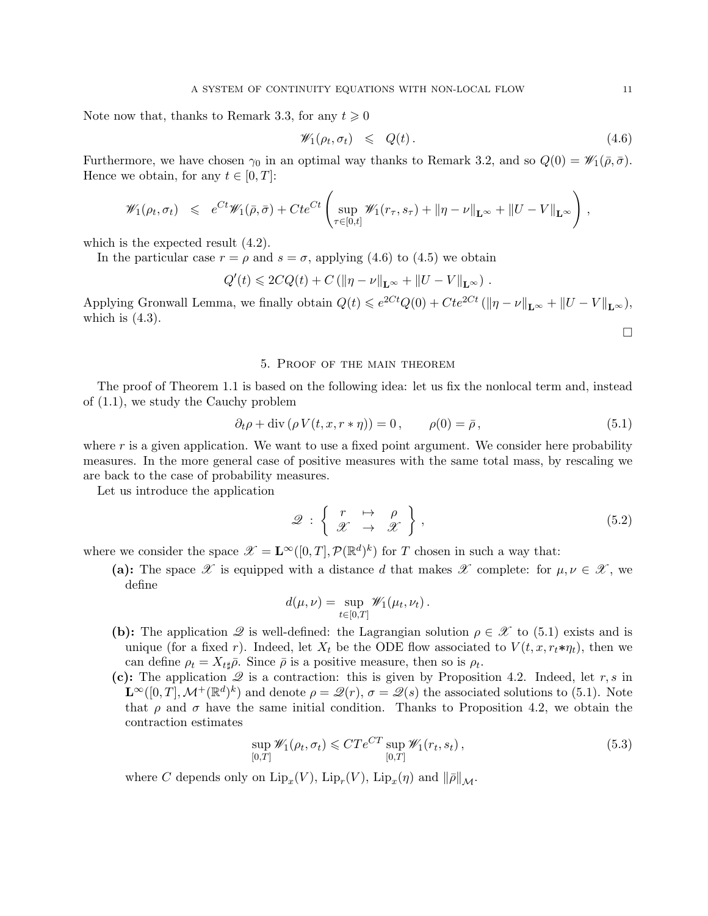Note now that, thanks to Remark 3.3, for any  $t \geq 0$ 

$$
\mathscr{W}_1(\rho_t, \sigma_t) \leq Q(t). \tag{4.6}
$$

Furthermore, we have chosen  $\gamma_0$  in an optimal way thanks to Remark 3.2, and so  $Q(0) = \mathscr{W}_1(\bar{\rho}, \bar{\sigma})$ . Hence we obtain, for any  $t \in [0, T]$ :

$$
\mathscr{W}_1(\rho_t, \sigma_t) \leq e^{Ct} \mathscr{W}_1(\bar{\rho}, \bar{\sigma}) + Cte^{Ct} \left( \sup_{\tau \in [0, t]} \mathscr{W}_1(r_{\tau}, s_{\tau}) + \|\eta - \nu\|_{\mathbf{L}^{\infty}} + \|U - V\|_{\mathbf{L}^{\infty}} \right)
$$

which is the expected result  $(4.2)$ .

In the particular case  $r = \rho$  and  $s = \sigma$ , applying (4.6) to (4.5) we obtain

$$
Q'(t) \leqslant 2CQ(t) + C \left( \|\eta - \nu\|_{\mathbf{L}^{\infty}} + \|U - V\|_{\mathbf{L}^{\infty}} \right).
$$

Applying Gronwall Lemma, we finally obtain  $Q(t) \leq e^{2Ct}Q(0) + Cte^{2Ct} (\|\eta - \nu\|_{\mathbf{L}^{\infty}} + \|U - V\|_{\mathbf{L}^{\infty}})$ , which is  $(4.3)$ .  $\Box$ 

#### 5. Proof of the main theorem

The proof of Theorem 1.1 is based on the following idea: let us fix the nonlocal term and, instead of (1.1), we study the Cauchy problem

$$
\partial_t \rho + \text{div} \left( \rho V(t, x, r * \eta) \right) = 0, \qquad \rho(0) = \bar{\rho}, \tag{5.1}
$$

where r is a given application. We want to use a fixed point argument. We consider here probability measures. In the more general case of positive measures with the same total mass, by rescaling we are back to the case of probability measures.

Let us introduce the application

$$
\mathscr{Q} : \left\{ \begin{array}{ccc} r & \mapsto & \rho \\ \mathscr{X} & \to & \mathscr{X} \end{array} \right\},\tag{5.2}
$$

where we consider the space  $\mathscr{X} = \mathbf{L}^{\infty}([0,T], \mathcal{P}(\mathbb{R}^d)^k)$  for T chosen in such a way that:

(a): The space  $\mathscr X$  is equipped with a distance d that makes  $\mathscr X$  complete: for  $\mu, \nu \in \mathscr X$ , we define

$$
d(\mu,\nu)=\sup_{t\in[0,T]}\mathscr{W}_1(\mu_t,\nu_t).
$$

- (b): The application  $\mathscr Q$  is well-defined: the Lagrangian solution  $\rho \in \mathscr X$  to (5.1) exists and is unique (for a fixed r). Indeed, let  $X_t$  be the ODE flow associated to  $V(t, x, r_t * \eta_t)$ , then we can define  $\rho_t = X_{t\sharp} \bar{\rho}$ . Since  $\bar{\rho}$  is a positive measure, then so is  $\rho_t$ .
- (c): The application  $\mathscr Q$  is a contraction: this is given by Proposition 4.2. Indeed, let r, s in  $\mathbf{L}^{\infty}([0,T],\mathcal{M}^{+}(\mathbb{R}^{d})^{k})$  and denote  $\rho=\mathscr{Q}(r),\,\sigma=\mathscr{Q}(s)$  the associated solutions to (5.1). Note that  $\rho$  and  $\sigma$  have the same initial condition. Thanks to Proposition 4.2, we obtain the contraction estimates

$$
\sup_{[0,T]} \mathscr{W}_1(\rho_t, \sigma_t) \leq C T e^{CT} \sup_{[0,T]} \mathscr{W}_1(r_t, s_t), \tag{5.3}
$$

where C depends only on  $\mathrm{Lip}_x(V)$ ,  $\mathrm{Lip}_r(V)$ ,  $\mathrm{Lip}_x(\eta)$  and  $\|\overline{\rho}\|_{\mathcal{M}}$ .

,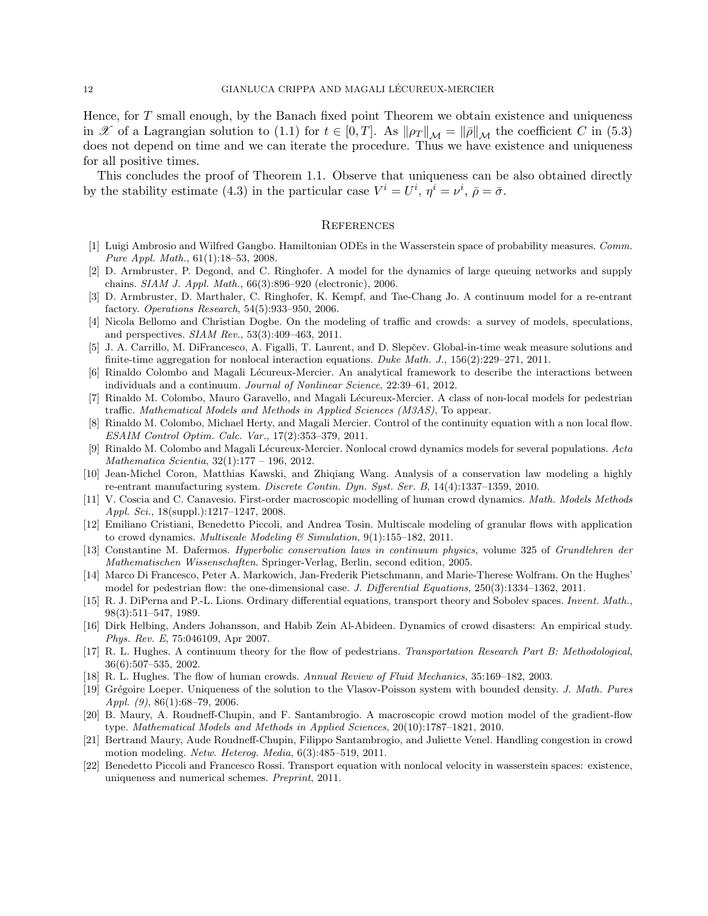Hence, for T small enough, by the Banach fixed point Theorem we obtain existence and uniqueness in X of a Lagrangian solution to (1.1) for  $t \in [0, T]$ . As  $\|\rho_T\|_{\mathcal{M}} = \|\bar{\rho}\|_{\mathcal{M}}$  the coefficient C in (5.3) does not depend on time and we can iterate the procedure. Thus we have existence and uniqueness for all positive times.

This concludes the proof of Theorem 1.1. Observe that uniqueness can be also obtained directly by the stability estimate (4.3) in the particular case  $V^i = U^i$ ,  $\eta^i = \nu^i$ ,  $\bar{\rho} = \bar{\sigma}$ .

#### **REFERENCES**

- [1] Luigi Ambrosio and Wilfred Gangbo. Hamiltonian ODEs in the Wasserstein space of probability measures. Comm. Pure Appl. Math., 61(1):18–53, 2008.
- [2] D. Armbruster, P. Degond, and C. Ringhofer. A model for the dynamics of large queuing networks and supply chains. SIAM J. Appl. Math., 66(3):896–920 (electronic), 2006.
- [3] D. Armbruster, D. Marthaler, C. Ringhofer, K. Kempf, and Tae-Chang Jo. A continuum model for a re-entrant factory. Operations Research, 54(5):933–950, 2006.
- [4] Nicola Bellomo and Christian Dogbe. On the modeling of traffic and crowds: a survey of models, speculations, and perspectives. SIAM Rev., 53(3):409–463, 2011.
- [5] J. A. Carrillo, M. DiFrancesco, A. Figalli, T. Laurent, and D. Slepčev. Global-in-time weak measure solutions and finite-time aggregation for nonlocal interaction equations. Duke Math. J.,  $156(2):229-271$ ,  $2011$ .
- [6] Rinaldo Colombo and Magali Lécureux-Mercier. An analytical framework to describe the interactions between individuals and a continuum. Journal of Nonlinear Science, 22:39–61, 2012.
- [7] Rinaldo M. Colombo, Mauro Garavello, and Magali Lécureux-Mercier. A class of non-local models for pedestrian traffic. Mathematical Models and Methods in Applied Sciences (M3AS), To appear.
- [8] Rinaldo M. Colombo, Michael Herty, and Magali Mercier. Control of the continuity equation with a non local flow. ESAIM Control Optim. Calc. Var., 17(2):353–379, 2011.
- [9] Rinaldo M. Colombo and Magali Lécureux-Mercier. Nonlocal crowd dynamics models for several populations. Acta Mathematica Scientia, 32(1):177 – 196, 2012.
- [10] Jean-Michel Coron, Matthias Kawski, and Zhiqiang Wang. Analysis of a conservation law modeling a highly re-entrant manufacturing system. Discrete Contin. Dyn. Syst. Ser. B, 14(4):1337–1359, 2010.
- [11] V. Coscia and C. Canavesio. First-order macroscopic modelling of human crowd dynamics. Math. Models Methods Appl. Sci., 18(suppl.):1217–1247, 2008.
- [12] Emiliano Cristiani, Benedetto Piccoli, and Andrea Tosin. Multiscale modeling of granular flows with application to crowd dynamics. *Multiscale Modeling*  $\mathcal{C}$  Simulation, 9(1):155–182, 2011.
- [13] Constantine M. Dafermos. Hyperbolic conservation laws in continuum physics, volume 325 of Grundlehren der Mathematischen Wissenschaften. Springer-Verlag, Berlin, second edition, 2005.
- [14] Marco Di Francesco, Peter A. Markowich, Jan-Frederik Pietschmann, and Marie-Therese Wolfram. On the Hughes' model for pedestrian flow: the one-dimensional case. J. Differential Equations, 250(3):1334–1362, 2011.
- [15] R. J. DiPerna and P.-L. Lions. Ordinary differential equations, transport theory and Sobolev spaces. Invent. Math., 98(3):511–547, 1989.
- [16] Dirk Helbing, Anders Johansson, and Habib Zein Al-Abideen. Dynamics of crowd disasters: An empirical study. Phys. Rev. E, 75:046109, Apr 2007.
- [17] R. L. Hughes. A continuum theory for the flow of pedestrians. Transportation Research Part B: Methodological, 36(6):507–535, 2002.
- [18] R. L. Hughes. The flow of human crowds. Annual Review of Fluid Mechanics, 35:169–182, 2003.
- [19] Grégoire Loeper. Uniqueness of the solution to the Vlasov-Poisson system with bounded density. J. Math. Pures Appl.  $(9)$ , 86 $(1)$ :68–79, 2006.
- [20] B. Maury, A. Roudneff-Chupin, and F. Santambrogio. A macroscopic crowd motion model of the gradient-flow type. Mathematical Models and Methods in Applied Sciences, 20(10):1787–1821, 2010.
- [21] Bertrand Maury, Aude Roudneff-Chupin, Filippo Santambrogio, and Juliette Venel. Handling congestion in crowd motion modeling. Netw. Heterog. Media, 6(3):485–519, 2011.
- [22] Benedetto Piccoli and Francesco Rossi. Transport equation with nonlocal velocity in wasserstein spaces: existence, uniqueness and numerical schemes. Preprint, 2011.